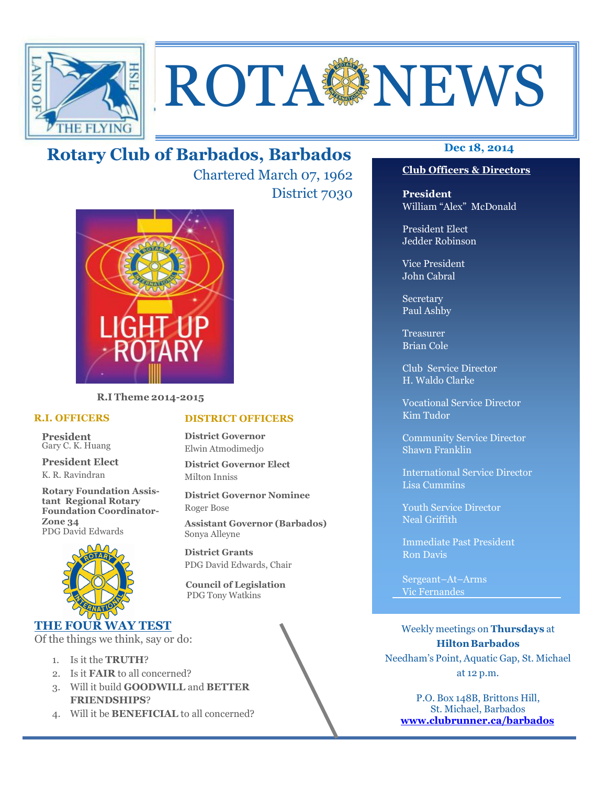

# **ROTA NEWS**

## **Dec 18, 2014 Rotary Club of Barbados, Barbados**

Chartered March 07, 1962 District 7030



**R.I Theme 2014-2015** 

#### **R.I. OFFICERS**

**President** Gary C. K. Huang

**President Elect** K. R. Ravindran

**Rotary Foundation Assistant Regional Rotary Foundation Coordinator-Zone 34**  PDG David Edwards



#### **THE FOUR WAY TEST**

Of the things we think, say or do:

- 1. Is it the **TRUTH**?
- 2. Is it **FAIR** to all concerned?
- 3. Will it build **GOODWILL** and **BETTER FRIENDSHIPS**?
- 4. Will it be **BENEFICIAL** to all concerned?

#### **Club Officers & Directors**

**President** William "Alex" McDonald

President Elect Jedder Robinson

Vice President John Cabral

Secretary Paul Ashby

Treasurer Brian Cole

Club Service Director H. Waldo Clarke

Vocational Service Director Kim Tudor

Community Service Director Shawn Franklin

International Service Director Lisa Cummins

Youth Service Director Neal Griffith

Immediate Past President Ron Davis

Sergeant–At–Arms Vic Fernandes

Weekly meetings on **Thursdays** at **Hilton Barbados** Needham's Point, Aquatic Gap, St. Michael at 12 p.m.

P.O. Box 148B, Brittons Hill, St. Michael, Barbados **www.clubrunner.ca/barbados**

#### **DISTRICT OFFICERS**

**District Governor** Elwin Atmodimedjo

**District Governor Elect** Milton Inniss

**District Governor Nominee**  Roger Bose

**Assistant Governor (Barbados)** Sonya Alleyne

**District Grants**  PDG David Edwards, Chair

 **Council of Legislation**  PDG Tony Watkins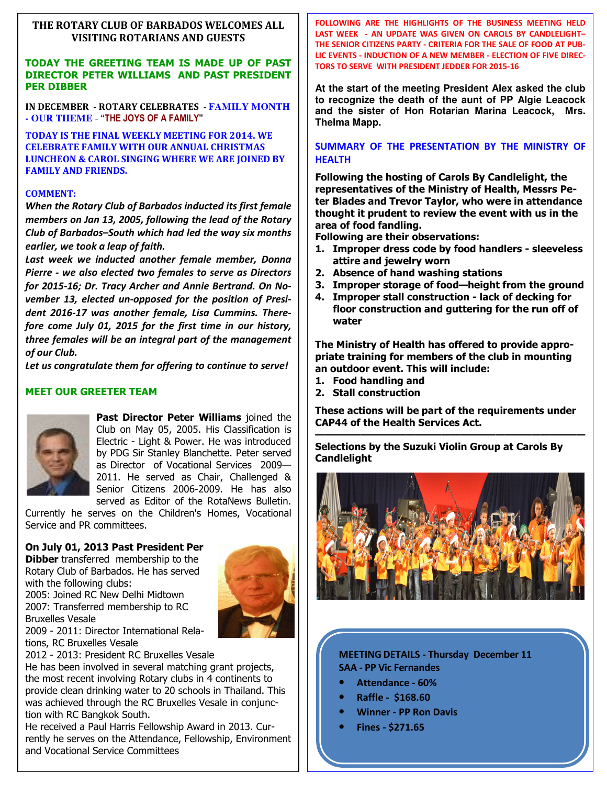#### **THE ROTARY CLUB OF BARBADOS WELCOMES ALL VISITING ROTARIANS AND GUESTS**

#### **TODAY THE GREETING TEAM IS MADE UP OF PAST DIRECTOR PETER WILLIAMS AND PAST PRESIDENT PER DIBBER**

**IN DECEMBER - ROTARY CELEBRATES - FAMILY MONTH - OUR THEME** - **"THE JOYS OF A FAMILY"**

**TODAY IS THE FINAL WEEKLY MEETING FOR 2014. WE CELEBRATE FAMILY WITH OUR ANNUAL CHRISTMAS LUNCHEON & CAROL SINGING WHERE WE ARE JOINED BY FAMILY AND FRIENDS.** 

#### **COMMENT:**

*When the Rotary Club of Barbados inducted its first female members on Jan 13, 2005, following the lead of the Rotary Club of Barbados–South which had led the way six months earlier, we took a leap of faith.* 

*Last week we inducted another female member, Donna Pierre - we also elected two females to serve as Directors for 2015-16; Dr. Tracy Archer and Annie Bertrand. On November 13, elected un-opposed for the position of President 2016-17 was another female, Lisa Cummins. Therefore come July 01, 2015 for the first time in our history, three females will be an integral part of the management of our Club.* 

*Let us congratulate them for offering to continue to serve!* 

#### **MEET OUR GREETER TEAM**



Bruxelles Vesale

**Past Director Peter Williams** joined the Club on May 05, 2005. His Classification is Electric - Light & Power. He was introduced by PDG Sir Stanley Blanchette. Peter served as Director of Vocational Services 2009— 2011. He served as Chair, Challenged & Senior Citizens 2006-2009. He has also served as Editor of the RotaNews Bulletin.

Currently he serves on the Children's Homes, Vocational Service and PR committees.

#### **On July 01, 2013 Past President Per**

**Dibber** transferred membership to the Rotary Club of Barbados. He has served with the following clubs:

2005: Joined RC New Delhi Midtown 2007: Transferred membership to RC



2009 - 2011: Director International Relations, RC Bruxelles Vesale

2012 - 2013: President RC Bruxelles Vesale

He has been involved in several matching grant projects, the most recent involving Rotary clubs in 4 continents to provide clean drinking water to 20 schools in Thailand. This was achieved through the RC Bruxelles Vesale in conjunction with RC Bangkok South.

He received a Paul Harris Fellowship Award in 2013. Currently he serves on the Attendance, Fellowship, Environment and Vocational Service Committees

**FOLLOWING ARE THE HIGHLIGHTS OF THE BUSINESS MEETING HELD LAST WEEK - AN UPDATE WAS GIVEN ON CAROLS BY CANDLELIGHT– THE SENIOR CITIZENS PARTY - CRITERIA FOR THE SALE OF FOOD AT PUB-LIC EVENTS - INDUCTION OF A NEW MEMBER - ELECTION OF FIVE DIREC-TORS TO SERVE WITH PRESIDENT JEDDER FOR 2015-16** 

**At the start of the meeting President Alex asked the club to recognize the death of the aunt of PP Algie Leacock and the sister of Hon Rotarian Marina Leacock, Mrs. Thelma Mapp.** 

#### **SUMMARY OF THE PRESENTATION BY THE MINISTRY OF HEALTH**

**Following the hosting of Carols By Candlelight, the representatives of the Ministry of Health, Messrs Peter Blades and Trevor Taylor, who were in attendance thought it prudent to review the event with us in the area of food fandling.** 

**Following are their observations:** 

- **1. Improper dress code by food handlers sleeveless attire and jewelry worn**
- **2. Absence of hand washing stations**
- **3. Improper storage of food—height from the ground**
- **4. Improper stall construction lack of decking for floor construction and guttering for the run off of water**

**The Ministry of Health has offered to provide appropriate training for members of the club in mounting an outdoor event. This will include:** 

- **1. Food handling and**
- **2. Stall construction**

**These actions will be part of the requirements under CAP44 of the Health Services Act.** 

**—————————————————————————————— Selections by the Suzuki Violin Group at Carols By Candlelight** 



**MEETING DETAILS - Thursday December 11 SAA - PP Vic Fernandes** 

- **Attendance 60%**
- **Raffle \$168.60**
- **Winner PP Ron Davis**
- **Fines \$271.65**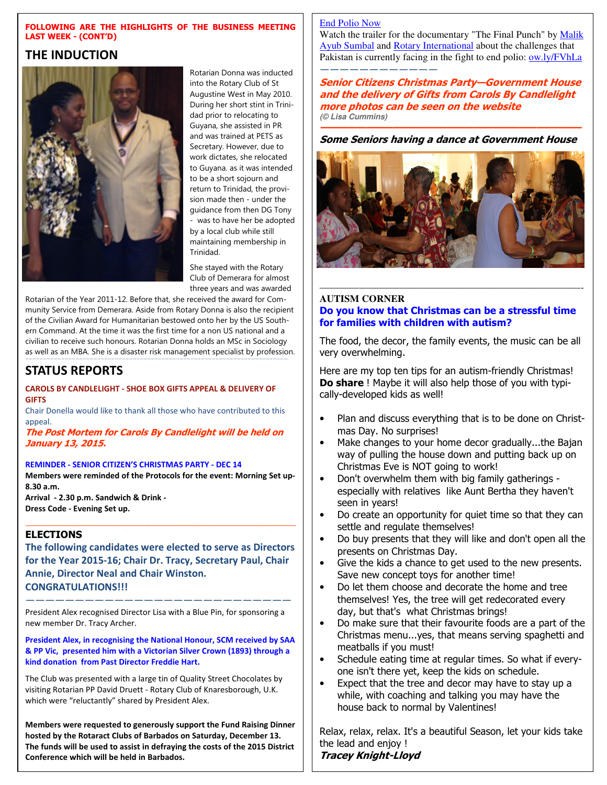#### **FOLLOWING ARE THE HIGHLIGHTS OF THE BUSINESS MEETING LAST WEEK - (CONT'D)**

#### **THE INDUCTION**



Rotarian Donna was inducted into the Rotary Club of St Augustine West in May 2010. During her short stint in Trinidad prior to relocating to Guyana, she assisted in PR and was trained at PETS as Secretary. However, due to work dictates, she relocated to Guyana. as it was intended to be a short sojourn and return to Trinidad, the provision made then - under the guidance from then DG Tony was to have her be adopted by a local club while still maintaining membership in Trinidad.

She stayed with the Rotary Club of Demerara for almost three years and was awarded

Rotarian of the Year 2011-12. Before that, she received the award for Community Service from Demerara. Aside from Rotary Donna is also the recipient of the Civilian Award for Humanitarian bestowed onto her by the US Southern Command. At the time it was the first time for a non US national and a civilian to receive such honours. Rotarian Donna holds an MSc in Sociology as well as an MBA. She is a disaster risk management specialist by profession.

—————————————————————————————————————————————————————————————————————————-

### **STATUS REPORTS**

#### **CAROLS BY CANDLELIGHT - SHOE BOX GIFTS APPEAL & DELIVERY OF GIFTS**

Chair Donella would like to thank all those who have contributed to this appeal.

**The Post Mortem for Carols By Candlelight will be held on January 13, 2015.** 

#### **REMINDER - SENIOR CITIZEN'S CHRISTMAS PARTY - DEC 14**

**Members were reminded of the Protocols for the event: Morning Set up-8.30 a.m.** 

**Arrival - 2.30 p.m. Sandwich & Drink - Dress Code - Evening Set up.** 

#### **ELECTIONS**

**The following candidates were elected to serve as Directors for the Year 2015-16; Chair Dr. Tracy, Secretary Paul, Chair Annie, Director Neal and Chair Winston. CONGRATULATIONS!!!** 

——————————————————————————— President Alex recognised Director Lisa with a Blue Pin, for sponsoring a new member Dr. Tracy Archer.

**President Alex, in recognising the National Honour, SCM received by SAA & PP Vic, presented him with a Victorian Silver Crown (1893) through a kind donation from Past Director Freddie Hart.** 

The Club was presented with a large tin of Quality Street Chocolates by visiting Rotarian PP David Druett - Rotary Club of Knaresborough, U.K. which were "reluctantly" shared by President Alex.

**Members were requested to generously support the Fund Raising Dinner hosted by the Rotaract Clubs of Barbados on Saturday, December 13. The funds will be used to assist in defraying the costs of the 2015 District Conference which will be held in Barbados.** 

#### End Polio Now

Watch the trailer for the documentary "The Final Punch" by Malik Ayub Sumbal and Rotary International about the challenges that Pakistan is currently facing in the fight to end polio: ow.ly/FVhLa ————————————

**Senior Citizens Christmas Party—Government House and the delivery of Gifts from Carols By Candlelight more photos can be seen on the website (© Lisa Cummins)**

#### **————————————————————————————— Some Seniors having a dance at Government House**



#### ——————————————————————————-- **AUTISM CORNER Do you know that Christmas can be a stressful time for families with children with autism?**

The food, the decor, the family events, the music can be all very overwhelming.

Here are my top ten tips for an autism-friendly Christmas! **Do share** ! Maybe it will also help those of you with typically-developed kids as well!

- Plan and discuss everything that is to be done on Christmas Day. No surprises!
- Make changes to your home decor gradually...the Bajan way of pulling the house down and putting back up on Christmas Eve is NOT going to work!
- Don't overwhelm them with big family gatherings especially with relatives like Aunt Bertha they haven't seen in years!
- Do create an opportunity for quiet time so that they can settle and regulate themselves!
- Do buy presents that they will like and don't open all the presents on Christmas Day.
- Give the kids a chance to get used to the new presents. Save new concept toys for another time!
- Do let them choose and decorate the home and tree themselves! Yes, the tree will get redecorated every day, but that's what Christmas brings!
- Do make sure that their favourite foods are a part of the Christmas menu...yes, that means serving spaghetti and meatballs if you must!
- Schedule eating time at regular times. So what if everyone isn't there yet, keep the kids on schedule.
- Expect that the tree and decor may have to stay up a while, with coaching and talking you may have the house back to normal by Valentines!

Relax, relax, relax. It's a beautiful Season, let your kids take the lead and enjoy ! **Tracey Knight-Lloyd**